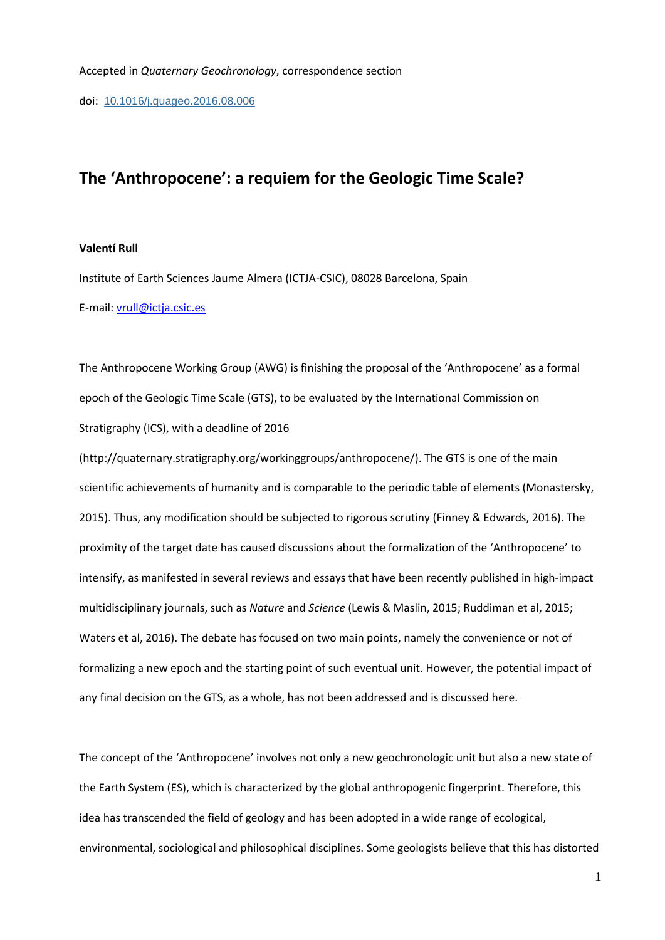doi: [10.1016/j.quageo.2016.08.006](http://dx.doi.org/10.1016/j.quageo.2016.08.006)

## **The 'Anthropocene': a requiem for the Geologic Time Scale?**

## **Valentí Rull**

Institute of Earth Sciences Jaume Almera (ICTJA-CSIC), 08028 Barcelona, Spain E-mail: [vrull@ictja.csic.es](mailto:vrull@ictja.csic.es)

The Anthropocene Working Group (AWG) is finishing the proposal of the 'Anthropocene' as a formal epoch of the Geologic Time Scale (GTS), to be evaluated by the International Commission on Stratigraphy (ICS), with a deadline of 2016

(http://quaternary.stratigraphy.org/workinggroups/anthropocene/). The GTS is one of the main scientific achievements of humanity and is comparable to the periodic table of elements (Monastersky, 2015). Thus, any modification should be subjected to rigorous scrutiny (Finney & Edwards, 2016). The proximity of the target date has caused discussions about the formalization of the 'Anthropocene' to intensify, as manifested in several reviews and essays that have been recently published in high-impact multidisciplinary journals, such as *Nature* and *Science* (Lewis & Maslin, 2015; Ruddiman et al, 2015; Waters et al, 2016). The debate has focused on two main points, namely the convenience or not of formalizing a new epoch and the starting point of such eventual unit. However, the potential impact of any final decision on the GTS, as a whole, has not been addressed and is discussed here.

The concept of the 'Anthropocene' involves not only a new geochronologic unit but also a new state of the Earth System (ES), which is characterized by the global anthropogenic fingerprint. Therefore, this idea has transcended the field of geology and has been adopted in a wide range of ecological, environmental, sociological and philosophical disciplines. Some geologists believe that this has distorted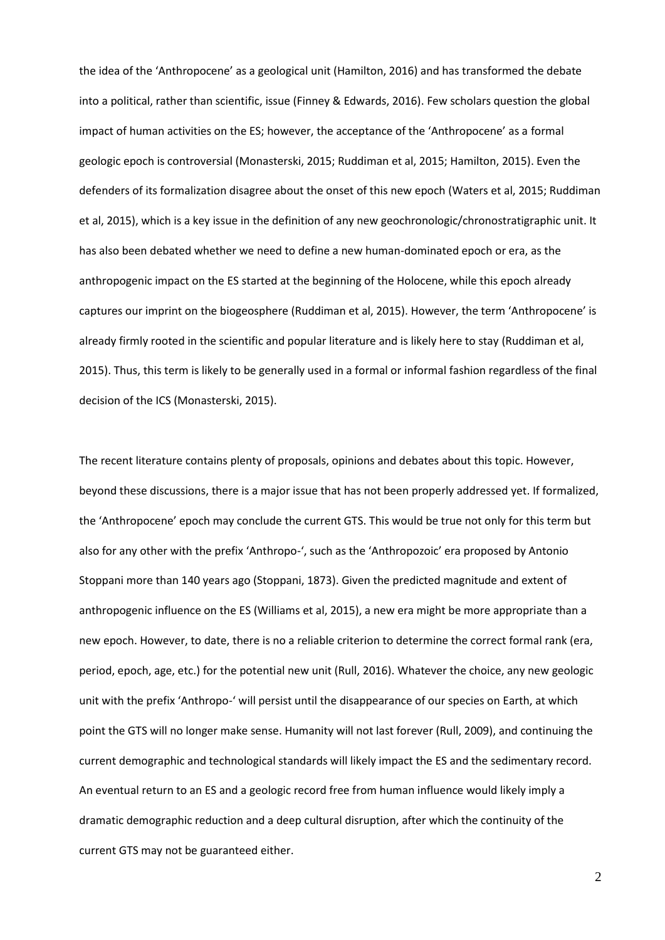the idea of the 'Anthropocene' as a geological unit (Hamilton, 2016) and has transformed the debate into a political, rather than scientific, issue (Finney & Edwards, 2016). Few scholars question the global impact of human activities on the ES; however, the acceptance of the 'Anthropocene' as a formal geologic epoch is controversial (Monasterski, 2015; Ruddiman et al, 2015; Hamilton, 2015). Even the defenders of its formalization disagree about the onset of this new epoch (Waters et al, 2015; Ruddiman et al, 2015), which is a key issue in the definition of any new geochronologic/chronostratigraphic unit. It has also been debated whether we need to define a new human-dominated epoch or era, as the anthropogenic impact on the ES started at the beginning of the Holocene, while this epoch already captures our imprint on the biogeosphere (Ruddiman et al, 2015). However, the term 'Anthropocene' is already firmly rooted in the scientific and popular literature and is likely here to stay (Ruddiman et al, 2015). Thus, this term is likely to be generally used in a formal or informal fashion regardless of the final decision of the ICS (Monasterski, 2015).

The recent literature contains plenty of proposals, opinions and debates about this topic. However, beyond these discussions, there is a major issue that has not been properly addressed yet. If formalized, the 'Anthropocene' epoch may conclude the current GTS. This would be true not only for this term but also for any other with the prefix 'Anthropo-', such as the 'Anthropozoic' era proposed by Antonio Stoppani more than 140 years ago (Stoppani, 1873). Given the predicted magnitude and extent of anthropogenic influence on the ES (Williams et al, 2015), a new era might be more appropriate than a new epoch. However, to date, there is no a reliable criterion to determine the correct formal rank (era, period, epoch, age, etc.) for the potential new unit (Rull, 2016). Whatever the choice, any new geologic unit with the prefix 'Anthropo-' will persist until the disappearance of our species on Earth, at which point the GTS will no longer make sense. Humanity will not last forever (Rull, 2009), and continuing the current demographic and technological standards will likely impact the ES and the sedimentary record. An eventual return to an ES and a geologic record free from human influence would likely imply a dramatic demographic reduction and a deep cultural disruption, after which the continuity of the current GTS may not be guaranteed either.

2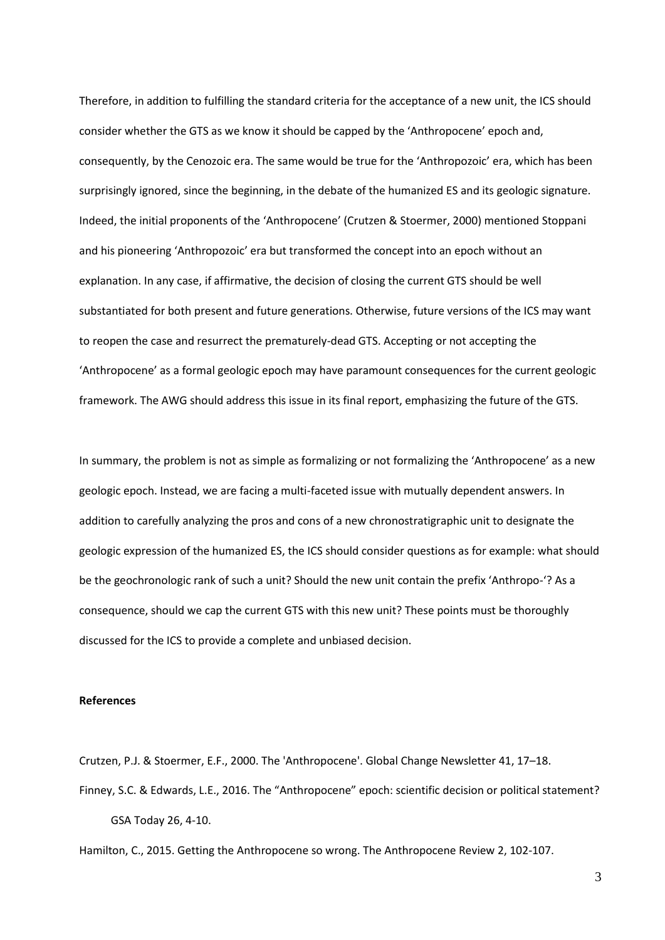Therefore, in addition to fulfilling the standard criteria for the acceptance of a new unit, the ICS should consider whether the GTS as we know it should be capped by the 'Anthropocene' epoch and, consequently, by the Cenozoic era. The same would be true for the 'Anthropozoic' era, which has been surprisingly ignored, since the beginning, in the debate of the humanized ES and its geologic signature. Indeed, the initial proponents of the 'Anthropocene' (Crutzen & Stoermer, 2000) mentioned Stoppani and his pioneering 'Anthropozoic' era but transformed the concept into an epoch without an explanation. In any case, if affirmative, the decision of closing the current GTS should be well substantiated for both present and future generations. Otherwise, future versions of the ICS may want to reopen the case and resurrect the prematurely-dead GTS. Accepting or not accepting the 'Anthropocene' as a formal geologic epoch may have paramount consequences for the current geologic framework. The AWG should address this issue in its final report, emphasizing the future of the GTS.

In summary, the problem is not as simple as formalizing or not formalizing the 'Anthropocene' as a new geologic epoch. Instead, we are facing a multi-faceted issue with mutually dependent answers. In addition to carefully analyzing the pros and cons of a new chronostratigraphic unit to designate the geologic expression of the humanized ES, the ICS should consider questions as for example: what should be the geochronologic rank of such a unit? Should the new unit contain the prefix 'Anthropo-'? As a consequence, should we cap the current GTS with this new unit? These points must be thoroughly discussed for the ICS to provide a complete and unbiased decision.

## **References**

Crutzen, P.J. & Stoermer, E.F., 2000. The 'Anthropocene'. Global Change Newsletter 41, 17–18. Finney, S.C. & Edwards, L.E., 2016. The "Anthropocene" epoch: scientific decision or political statement? GSA Today 26, 4-10.

Hamilton, C., 2015. Getting the Anthropocene so wrong. The Anthropocene Review 2, 102-107.

3